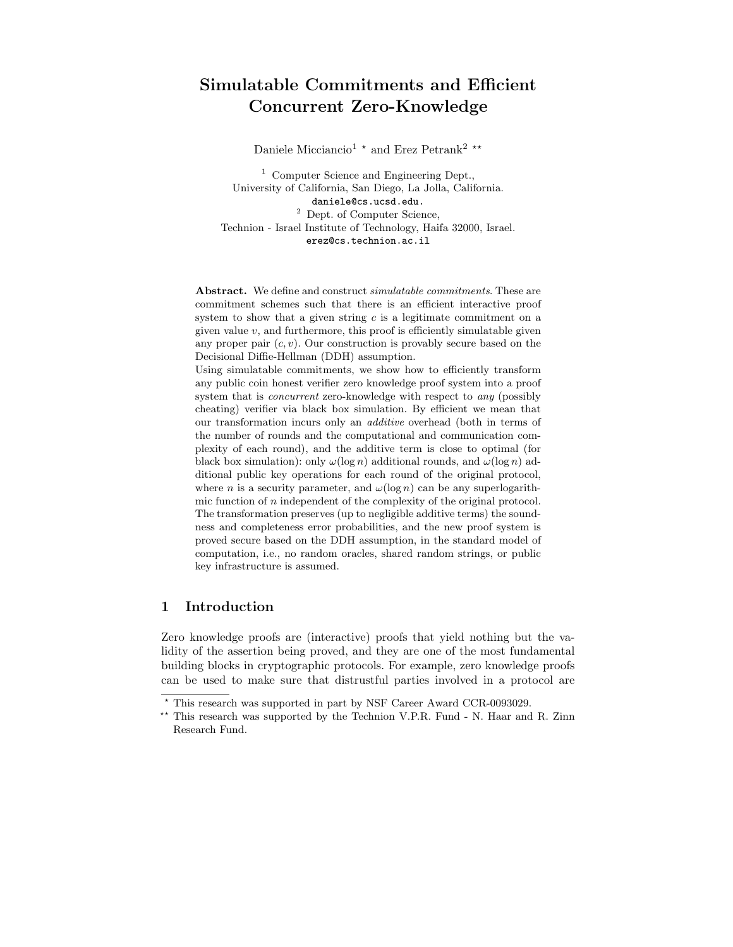# Simulatable Commitments and Efficient Concurrent Zero-Knowledge

Daniele Micciancio<sup>1</sup>  $*$  and Erez Petrank<sup>2</sup>  $**$ 

<sup>1</sup> Computer Science and Engineering Dept., University of California, San Diego, La Jolla, California. daniele@cs.ucsd.edu. <sup>2</sup> Dept. of Computer Science, Technion - Israel Institute of Technology, Haifa 32000, Israel. erez@cs.technion.ac.il

Abstract. We define and construct simulatable commitments. These are commitment schemes such that there is an efficient interactive proof system to show that a given string  $c$  is a legitimate commitment on a given value  $v$ , and furthermore, this proof is efficiently simulatable given any proper pair  $(c, v)$ . Our construction is provably secure based on the Decisional Diffie-Hellman (DDH) assumption.

Using simulatable commitments, we show how to efficiently transform any public coin honest verifier zero knowledge proof system into a proof system that is *concurrent* zero-knowledge with respect to *any* (possibly cheating) verifier via black box simulation. By efficient we mean that our transformation incurs only an additive overhead (both in terms of the number of rounds and the computational and communication complexity of each round), and the additive term is close to optimal (for black box simulation): only  $\omega(\log n)$  additional rounds, and  $\omega(\log n)$  additional public key operations for each round of the original protocol, where *n* is a security parameter, and  $\omega(\log n)$  can be any superlogarithmic function of n independent of the complexity of the original protocol. The transformation preserves (up to negligible additive terms) the soundness and completeness error probabilities, and the new proof system is proved secure based on the DDH assumption, in the standard model of computation, i.e., no random oracles, shared random strings, or public key infrastructure is assumed.

# 1 Introduction

Zero knowledge proofs are (interactive) proofs that yield nothing but the validity of the assertion being proved, and they are one of the most fundamental building blocks in cryptographic protocols. For example, zero knowledge proofs can be used to make sure that distrustful parties involved in a protocol are

<sup>?</sup> This research was supported in part by NSF Career Award CCR-0093029.

<sup>\*\*</sup> This research was supported by the Technion V.P.R. Fund - N. Haar and R. Zinn Research Fund.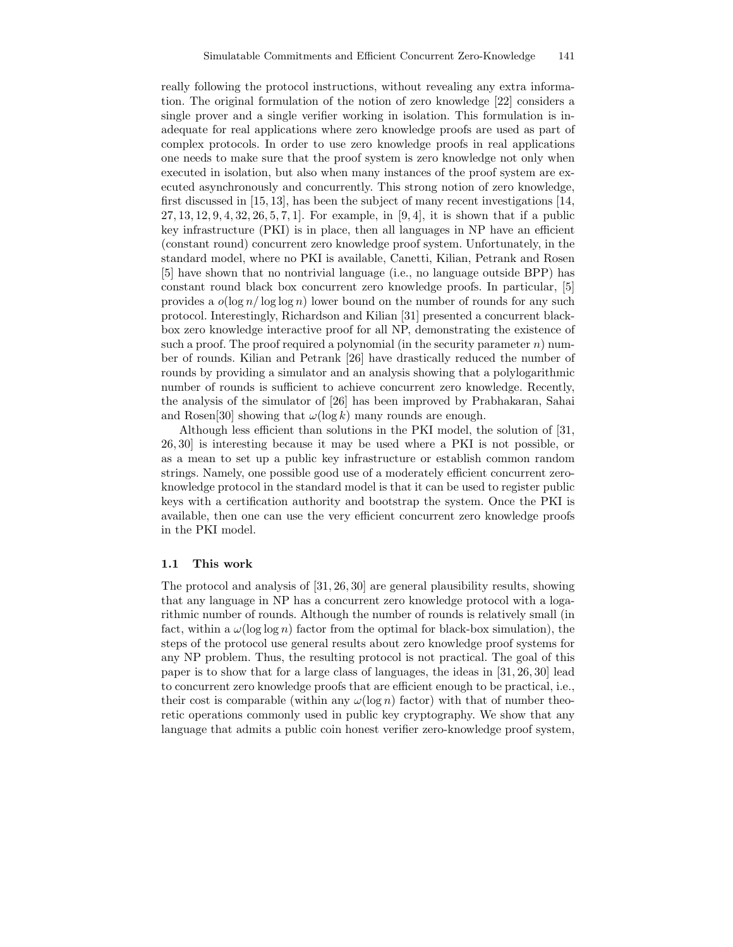really following the protocol instructions, without revealing any extra information. The original formulation of the notion of zero knowledge [22] considers a single prover and a single verifier working in isolation. This formulation is inadequate for real applications where zero knowledge proofs are used as part of complex protocols. In order to use zero knowledge proofs in real applications one needs to make sure that the proof system is zero knowledge not only when executed in isolation, but also when many instances of the proof system are executed asynchronously and concurrently. This strong notion of zero knowledge, first discussed in [15, 13], has been the subject of many recent investigations [14, 27, 13, 12, 9, 4, 32, 26, 5, 7, 1]. For example, in [9, 4], it is shown that if a public key infrastructure (PKI) is in place, then all languages in NP have an efficient (constant round) concurrent zero knowledge proof system. Unfortunately, in the standard model, where no PKI is available, Canetti, Kilian, Petrank and Rosen [5] have shown that no nontrivial language (i.e., no language outside BPP) has constant round black box concurrent zero knowledge proofs. In particular, [5] provides a  $o(\log n/\log \log n)$  lower bound on the number of rounds for any such protocol. Interestingly, Richardson and Kilian [31] presented a concurrent blackbox zero knowledge interactive proof for all NP, demonstrating the existence of such a proof. The proof required a polynomial (in the security parameter  $n$ ) number of rounds. Kilian and Petrank [26] have drastically reduced the number of rounds by providing a simulator and an analysis showing that a polylogarithmic number of rounds is sufficient to achieve concurrent zero knowledge. Recently, the analysis of the simulator of [26] has been improved by Prabhakaran, Sahai and Rosen<sup>[30]</sup> showing that  $\omega(\log k)$  many rounds are enough.

Although less efficient than solutions in the PKI model, the solution of [31, 26, 30] is interesting because it may be used where a PKI is not possible, or as a mean to set up a public key infrastructure or establish common random strings. Namely, one possible good use of a moderately efficient concurrent zeroknowledge protocol in the standard model is that it can be used to register public keys with a certification authority and bootstrap the system. Once the PKI is available, then one can use the very efficient concurrent zero knowledge proofs in the PKI model.

#### 1.1 This work

The protocol and analysis of [31, 26, 30] are general plausibility results, showing that any language in NP has a concurrent zero knowledge protocol with a logarithmic number of rounds. Although the number of rounds is relatively small (in fact, within a  $\omega(\log \log n)$  factor from the optimal for black-box simulation), the steps of the protocol use general results about zero knowledge proof systems for any NP problem. Thus, the resulting protocol is not practical. The goal of this paper is to show that for a large class of languages, the ideas in [31, 26, 30] lead to concurrent zero knowledge proofs that are efficient enough to be practical, i.e., their cost is comparable (within any  $\omega(\log n)$  factor) with that of number theoretic operations commonly used in public key cryptography. We show that any language that admits a public coin honest verifier zero-knowledge proof system,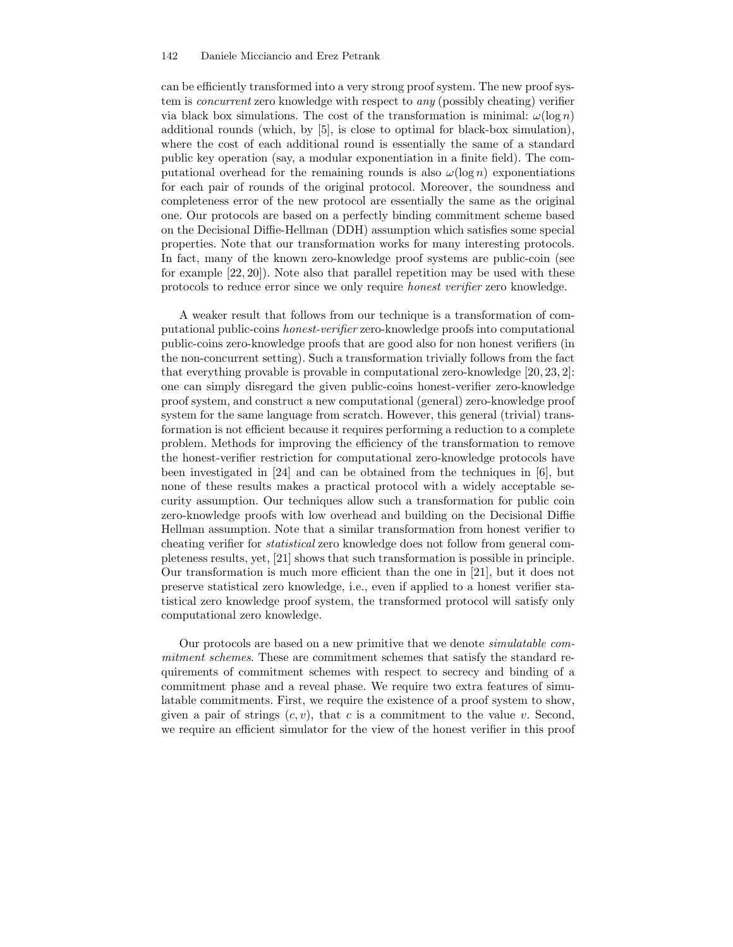#### 142 Daniele Micciancio and Erez Petrank

can be efficiently transformed into a very strong proof system. The new proof system is concurrent zero knowledge with respect to any (possibly cheating) verifier via black box simulations. The cost of the transformation is minimal:  $\omega(\log n)$ additional rounds (which, by [5], is close to optimal for black-box simulation), where the cost of each additional round is essentially the same of a standard public key operation (say, a modular exponentiation in a finite field). The computational overhead for the remaining rounds is also  $\omega(\log n)$  exponentiations for each pair of rounds of the original protocol. Moreover, the soundness and completeness error of the new protocol are essentially the same as the original one. Our protocols are based on a perfectly binding commitment scheme based on the Decisional Diffie-Hellman (DDH) assumption which satisfies some special properties. Note that our transformation works for many interesting protocols. In fact, many of the known zero-knowledge proof systems are public-coin (see for example [22, 20]). Note also that parallel repetition may be used with these protocols to reduce error since we only require honest verifier zero knowledge.

A weaker result that follows from our technique is a transformation of computational public-coins honest-verifier zero-knowledge proofs into computational public-coins zero-knowledge proofs that are good also for non honest verifiers (in the non-concurrent setting). Such a transformation trivially follows from the fact that everything provable is provable in computational zero-knowledge [20, 23, 2]: one can simply disregard the given public-coins honest-verifier zero-knowledge proof system, and construct a new computational (general) zero-knowledge proof system for the same language from scratch. However, this general (trivial) transformation is not efficient because it requires performing a reduction to a complete problem. Methods for improving the efficiency of the transformation to remove the honest-verifier restriction for computational zero-knowledge protocols have been investigated in [24] and can be obtained from the techniques in [6], but none of these results makes a practical protocol with a widely acceptable security assumption. Our techniques allow such a transformation for public coin zero-knowledge proofs with low overhead and building on the Decisional Diffie Hellman assumption. Note that a similar transformation from honest verifier to cheating verifier for statistical zero knowledge does not follow from general completeness results, yet, [21] shows that such transformation is possible in principle. Our transformation is much more efficient than the one in [21], but it does not preserve statistical zero knowledge, i.e., even if applied to a honest verifier statistical zero knowledge proof system, the transformed protocol will satisfy only computational zero knowledge.

Our protocols are based on a new primitive that we denote simulatable commitment schemes. These are commitment schemes that satisfy the standard requirements of commitment schemes with respect to secrecy and binding of a commitment phase and a reveal phase. We require two extra features of simulatable commitments. First, we require the existence of a proof system to show, given a pair of strings  $(c, v)$ , that c is a commitment to the value v. Second, we require an efficient simulator for the view of the honest verifier in this proof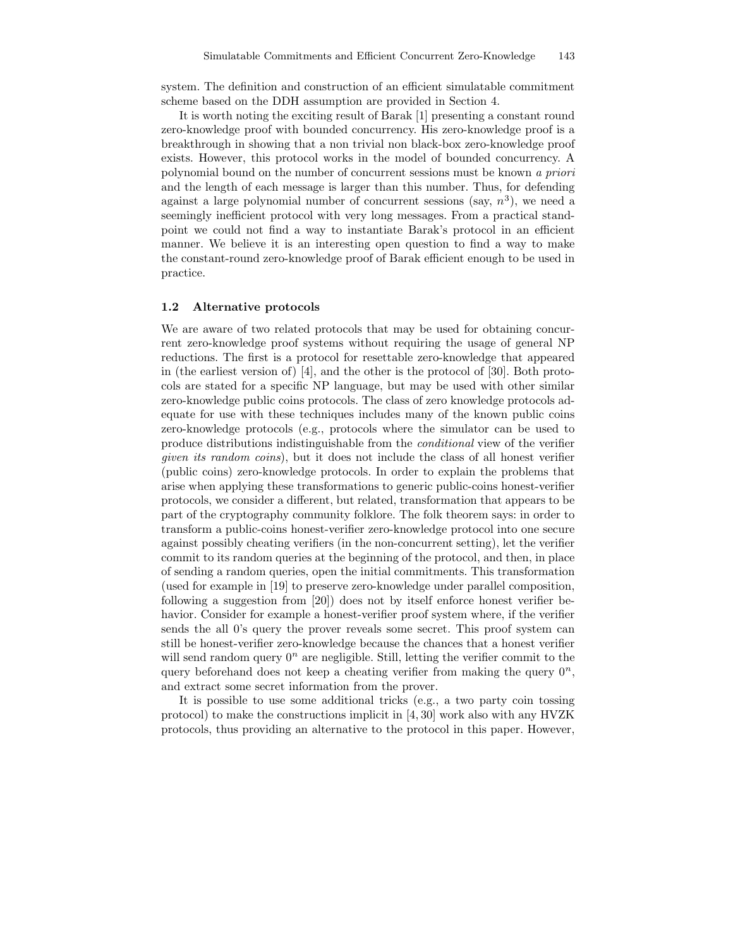system. The definition and construction of an efficient simulatable commitment scheme based on the DDH assumption are provided in Section 4.

It is worth noting the exciting result of Barak [1] presenting a constant round zero-knowledge proof with bounded concurrency. His zero-knowledge proof is a breakthrough in showing that a non trivial non black-box zero-knowledge proof exists. However, this protocol works in the model of bounded concurrency. A polynomial bound on the number of concurrent sessions must be known a priori and the length of each message is larger than this number. Thus, for defending against a large polynomial number of concurrent sessions (say,  $n^3$ ), we need a seemingly inefficient protocol with very long messages. From a practical standpoint we could not find a way to instantiate Barak's protocol in an efficient manner. We believe it is an interesting open question to find a way to make the constant-round zero-knowledge proof of Barak efficient enough to be used in practice.

#### 1.2 Alternative protocols

We are aware of two related protocols that may be used for obtaining concurrent zero-knowledge proof systems without requiring the usage of general NP reductions. The first is a protocol for resettable zero-knowledge that appeared in (the earliest version of) [4], and the other is the protocol of [30]. Both protocols are stated for a specific NP language, but may be used with other similar zero-knowledge public coins protocols. The class of zero knowledge protocols adequate for use with these techniques includes many of the known public coins zero-knowledge protocols (e.g., protocols where the simulator can be used to produce distributions indistinguishable from the conditional view of the verifier given its random coins), but it does not include the class of all honest verifier (public coins) zero-knowledge protocols. In order to explain the problems that arise when applying these transformations to generic public-coins honest-verifier protocols, we consider a different, but related, transformation that appears to be part of the cryptography community folklore. The folk theorem says: in order to transform a public-coins honest-verifier zero-knowledge protocol into one secure against possibly cheating verifiers (in the non-concurrent setting), let the verifier commit to its random queries at the beginning of the protocol, and then, in place of sending a random queries, open the initial commitments. This transformation (used for example in [19] to preserve zero-knowledge under parallel composition, following a suggestion from [20]) does not by itself enforce honest verifier behavior. Consider for example a honest-verifier proof system where, if the verifier sends the all 0's query the prover reveals some secret. This proof system can still be honest-verifier zero-knowledge because the chances that a honest verifier will send random query  $0<sup>n</sup>$  are negligible. Still, letting the verifier commit to the query beforehand does not keep a cheating verifier from making the query  $0^n$ , and extract some secret information from the prover.

It is possible to use some additional tricks (e.g., a two party coin tossing protocol) to make the constructions implicit in  $[4, 30]$  work also with any HVZK protocols, thus providing an alternative to the protocol in this paper. However,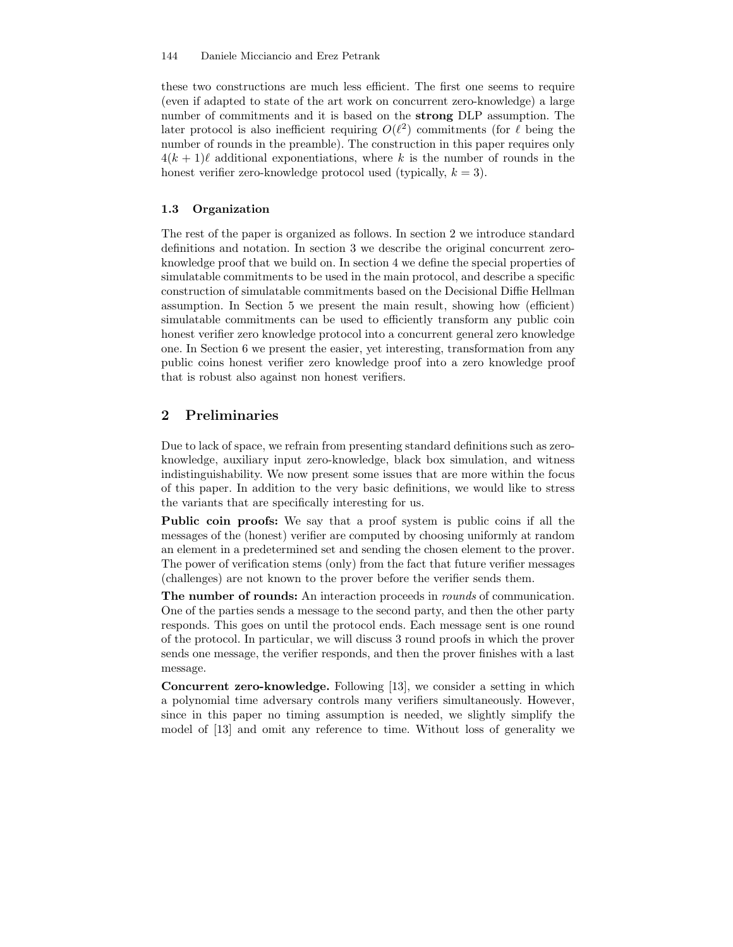these two constructions are much less efficient. The first one seems to require (even if adapted to state of the art work on concurrent zero-knowledge) a large number of commitments and it is based on the strong DLP assumption. The later protocol is also inefficient requiring  $O(\ell^2)$  commitments (for  $\ell$  being the number of rounds in the preamble). The construction in this paper requires only  $4(k + 1)\ell$  additional exponentiations, where k is the number of rounds in the honest verifier zero-knowledge protocol used (typically,  $k = 3$ ).

#### 1.3 Organization

The rest of the paper is organized as follows. In section 2 we introduce standard definitions and notation. In section 3 we describe the original concurrent zeroknowledge proof that we build on. In section 4 we define the special properties of simulatable commitments to be used in the main protocol, and describe a specific construction of simulatable commitments based on the Decisional Diffie Hellman assumption. In Section 5 we present the main result, showing how (efficient) simulatable commitments can be used to efficiently transform any public coin honest verifier zero knowledge protocol into a concurrent general zero knowledge one. In Section 6 we present the easier, yet interesting, transformation from any public coins honest verifier zero knowledge proof into a zero knowledge proof that is robust also against non honest verifiers.

# 2 Preliminaries

Due to lack of space, we refrain from presenting standard definitions such as zeroknowledge, auxiliary input zero-knowledge, black box simulation, and witness indistinguishability. We now present some issues that are more within the focus of this paper. In addition to the very basic definitions, we would like to stress the variants that are specifically interesting for us.

Public coin proofs: We say that a proof system is public coins if all the messages of the (honest) verifier are computed by choosing uniformly at random an element in a predetermined set and sending the chosen element to the prover. The power of verification stems (only) from the fact that future verifier messages (challenges) are not known to the prover before the verifier sends them.

The number of rounds: An interaction proceeds in *rounds* of communication. One of the parties sends a message to the second party, and then the other party responds. This goes on until the protocol ends. Each message sent is one round of the protocol. In particular, we will discuss 3 round proofs in which the prover sends one message, the verifier responds, and then the prover finishes with a last message.

Concurrent zero-knowledge. Following [13], we consider a setting in which a polynomial time adversary controls many verifiers simultaneously. However, since in this paper no timing assumption is needed, we slightly simplify the model of [13] and omit any reference to time. Without loss of generality we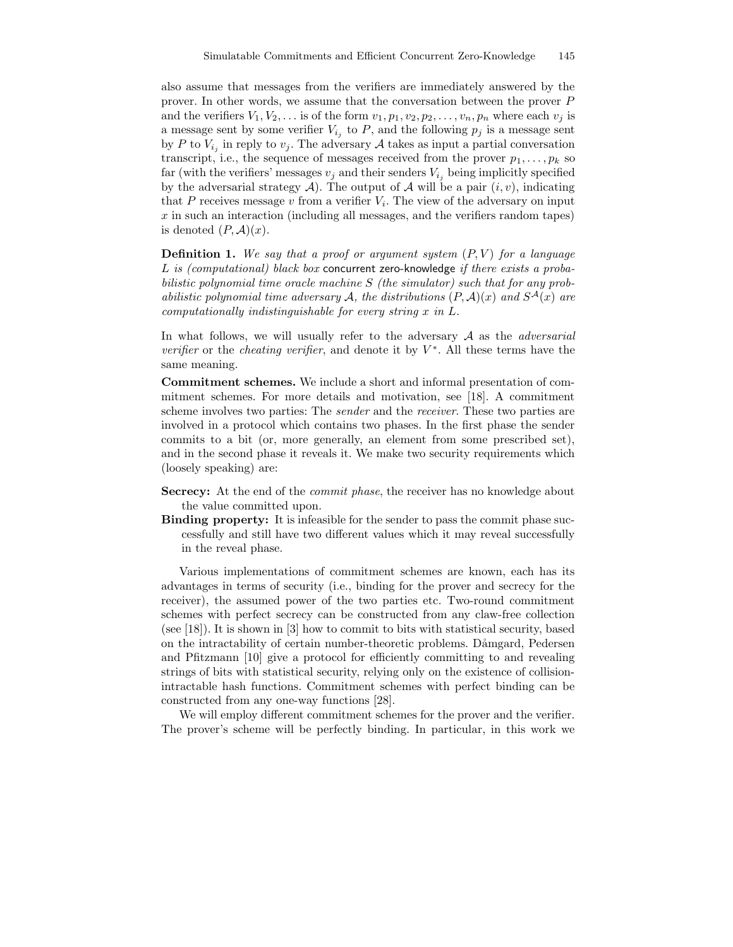also assume that messages from the verifiers are immediately answered by the prover. In other words, we assume that the conversation between the prover P and the verifiers  $V_1, V_2, \ldots$  is of the form  $v_1, p_1, v_2, p_2, \ldots, v_n, p_n$  where each  $v_j$  is a message sent by some verifier  $V_{i_j}$  to P, and the following  $p_j$  is a message sent by P to  $V_{i_j}$  in reply to  $v_j$ . The adversary A takes as input a partial conversation transcript, i.e., the sequence of messages received from the prover  $p_1, \ldots, p_k$  so far (with the verifiers' messages  $v_i$  and their senders  $V_i$ , being implicitly specified by the adversarial strategy  $A$ ). The output of A will be a pair  $(i, v)$ , indicating that  $P$  receives message  $v$  from a verifier  $V_i$ . The view of the adversary on input  $x$  in such an interaction (including all messages, and the verifiers random tapes) is denoted  $(P, \mathcal{A})(x)$ .

**Definition 1.** We say that a proof or argument system  $(P, V)$  for a language L is (computational) black box concurrent zero-knowledge if there exists a probabilistic polynomial time oracle machine  $S$  (the simulator) such that for any probabilistic polynomial time adversary A, the distributions  $(P, \mathcal{A})(x)$  and  $S^{\mathcal{A}}(x)$  are computationally indistinguishable for every string x in L.

In what follows, we will usually refer to the adversary  $A$  as the *adversarial* verifier or the cheating verifier, and denote it by  $V^*$ . All these terms have the same meaning.

Commitment schemes. We include a short and informal presentation of commitment schemes. For more details and motivation, see [18]. A commitment scheme involves two parties: The sender and the receiver. These two parties are involved in a protocol which contains two phases. In the first phase the sender commits to a bit (or, more generally, an element from some prescribed set), and in the second phase it reveals it. We make two security requirements which (loosely speaking) are:

- Secrecy: At the end of the *commit phase*, the receiver has no knowledge about the value committed upon.
- Binding property: It is infeasible for the sender to pass the commit phase successfully and still have two different values which it may reveal successfully in the reveal phase.

Various implementations of commitment schemes are known, each has its advantages in terms of security (i.e., binding for the prover and secrecy for the receiver), the assumed power of the two parties etc. Two-round commitment schemes with perfect secrecy can be constructed from any claw-free collection (see [18]). It is shown in [3] how to commit to bits with statistical security, based on the intractability of certain number-theoretic problems. Dåmgard, Pedersen and Pfitzmann [10] give a protocol for efficiently committing to and revealing strings of bits with statistical security, relying only on the existence of collisionintractable hash functions. Commitment schemes with perfect binding can be constructed from any one-way functions [28].

We will employ different commitment schemes for the prover and the verifier. The prover's scheme will be perfectly binding. In particular, in this work we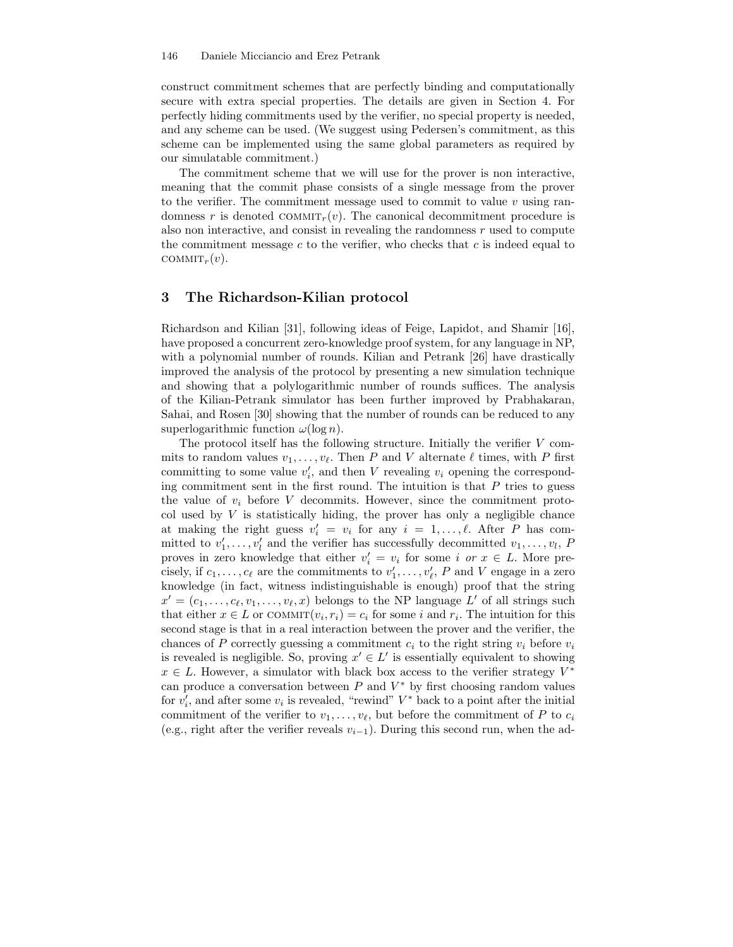construct commitment schemes that are perfectly binding and computationally secure with extra special properties. The details are given in Section 4. For perfectly hiding commitments used by the verifier, no special property is needed, and any scheme can be used. (We suggest using Pedersen's commitment, as this scheme can be implemented using the same global parameters as required by our simulatable commitment.)

The commitment scheme that we will use for the prover is non interactive, meaning that the commit phase consists of a single message from the prover to the verifier. The commitment message used to commit to value  $v$  using randomness r is denoted COMMIT<sub>r</sub> $(v)$ . The canonical decommitment procedure is also non interactive, and consist in revealing the randomness  $r$  used to compute the commitment message  $c$  to the verifier, who checks that  $c$  is indeed equal to COMMIT<sub>r</sub> $(v)$ .

### 3 The Richardson-Kilian protocol

Richardson and Kilian [31], following ideas of Feige, Lapidot, and Shamir [16], have proposed a concurrent zero-knowledge proof system, for any language in NP, with a polynomial number of rounds. Kilian and Petrank [26] have drastically improved the analysis of the protocol by presenting a new simulation technique and showing that a polylogarithmic number of rounds suffices. The analysis of the Kilian-Petrank simulator has been further improved by Prabhakaran, Sahai, and Rosen [30] showing that the number of rounds can be reduced to any superlogarithmic function  $\omega(\log n)$ .

The protocol itself has the following structure. Initially the verifier V commits to random values  $v_1, \ldots, v_\ell$ . Then P and V alternate  $\ell$  times, with P first committing to some value  $v'_i$ , and then V revealing  $v_i$  opening the corresponding commitment sent in the first round. The intuition is that  $P$  tries to guess the value of  $v_i$  before V decommits. However, since the commitment protocol used by  $V$  is statistically hiding, the prover has only a negligible chance at making the right guess  $v'_i = v_i$  for any  $i = 1, ..., \ell$ . After P has committed to  $v'_1, \ldots, v'_l$  and the verifier has successfully decommitted  $v_1, \ldots, v_l$ , P proves in zero knowledge that either  $v'_i = v_i$  for some i or  $x \in L$ . More precisely, if  $c_1, \ldots, c_\ell$  are the commitments to  $v'_1, \ldots, v'_\ell, P$  and V engage in a zero knowledge (in fact, witness indistinguishable is enough) proof that the string  $x' = (c_1, \ldots, c_\ell, v_1, \ldots, v_\ell, x)$  belongs to the NP language L' of all strings such that either  $x \in L$  or COMMIT $(v_i, r_i) = c_i$  for some i and  $r_i$ . The intuition for this second stage is that in a real interaction between the prover and the verifier, the chances of P correctly guessing a commitment  $c_i$  to the right string  $v_i$  before  $v_i$ is revealed is negligible. So, proving  $x' \in L'$  is essentially equivalent to showing  $x \in L$ . However, a simulator with black box access to the verifier strategy  $V^*$ can produce a conversation between  $P$  and  $V^*$  by first choosing random values for  $v'_i$ , and after some  $v_i$  is revealed, "rewind"  $V^*$  back to a point after the initial commitment of the verifier to  $v_1, \ldots, v_\ell$ , but before the commitment of P to  $c_i$ (e.g., right after the verifier reveals  $v_{i-1}$ ). During this second run, when the ad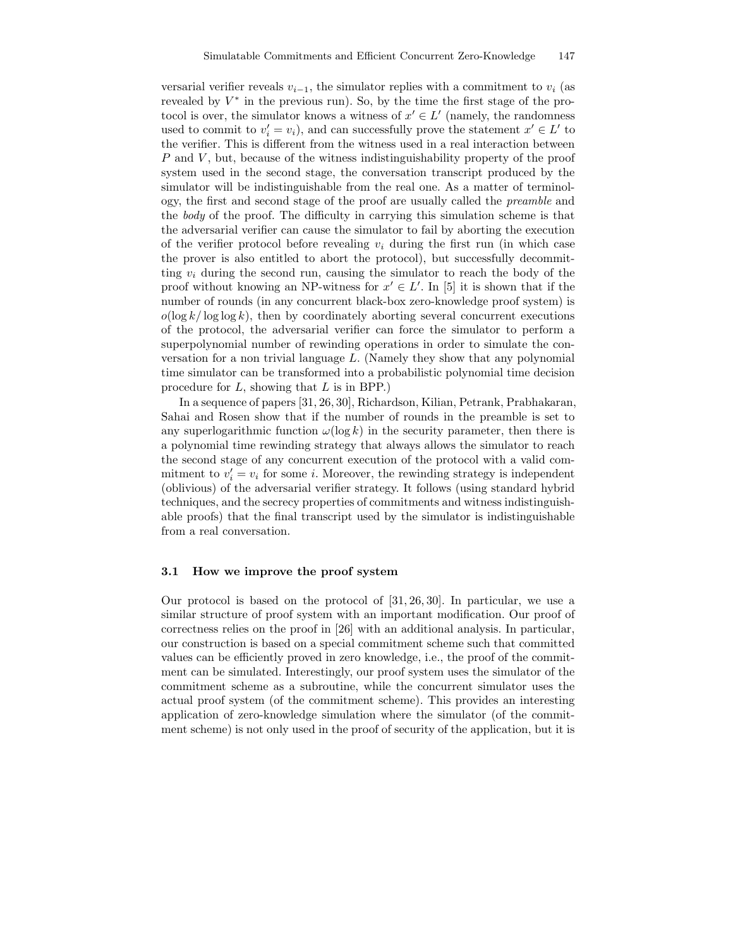versarial verifier reveals  $v_{i-1}$ , the simulator replies with a commitment to  $v_i$  (as revealed by  $V^*$  in the previous run). So, by the time the first stage of the protocol is over, the simulator knows a witness of  $x' \in L'$  (namely, the randomness used to commit to  $v'_i = v_i$ ), and can successfully prove the statement  $x' \in L'$  to the verifier. This is different from the witness used in a real interaction between  $P$  and  $V$ , but, because of the witness indistinguishability property of the proof system used in the second stage, the conversation transcript produced by the simulator will be indistinguishable from the real one. As a matter of terminology, the first and second stage of the proof are usually called the preamble and the body of the proof. The difficulty in carrying this simulation scheme is that the adversarial verifier can cause the simulator to fail by aborting the execution of the verifier protocol before revealing  $v_i$  during the first run (in which case the prover is also entitled to abort the protocol), but successfully decommitting  $v_i$  during the second run, causing the simulator to reach the body of the proof without knowing an NP-witness for  $x' \in L'$ . In [5] it is shown that if the number of rounds (in any concurrent black-box zero-knowledge proof system) is  $o(\log k/\log \log k)$ , then by coordinately aborting several concurrent executions of the protocol, the adversarial verifier can force the simulator to perform a superpolynomial number of rewinding operations in order to simulate the conversation for a non trivial language L. (Namely they show that any polynomial time simulator can be transformed into a probabilistic polynomial time decision procedure for  $L$ , showing that  $L$  is in BPP.)

In a sequence of papers [31, 26, 30], Richardson, Kilian, Petrank, Prabhakaran, Sahai and Rosen show that if the number of rounds in the preamble is set to any superlogarithmic function  $\omega(\log k)$  in the security parameter, then there is a polynomial time rewinding strategy that always allows the simulator to reach the second stage of any concurrent execution of the protocol with a valid commitment to  $v_i' = v_i$  for some *i*. Moreover, the rewinding strategy is independent (oblivious) of the adversarial verifier strategy. It follows (using standard hybrid techniques, and the secrecy properties of commitments and witness indistinguishable proofs) that the final transcript used by the simulator is indistinguishable from a real conversation.

#### 3.1 How we improve the proof system

Our protocol is based on the protocol of [31, 26, 30]. In particular, we use a similar structure of proof system with an important modification. Our proof of correctness relies on the proof in [26] with an additional analysis. In particular, our construction is based on a special commitment scheme such that committed values can be efficiently proved in zero knowledge, i.e., the proof of the commitment can be simulated. Interestingly, our proof system uses the simulator of the commitment scheme as a subroutine, while the concurrent simulator uses the actual proof system (of the commitment scheme). This provides an interesting application of zero-knowledge simulation where the simulator (of the commitment scheme) is not only used in the proof of security of the application, but it is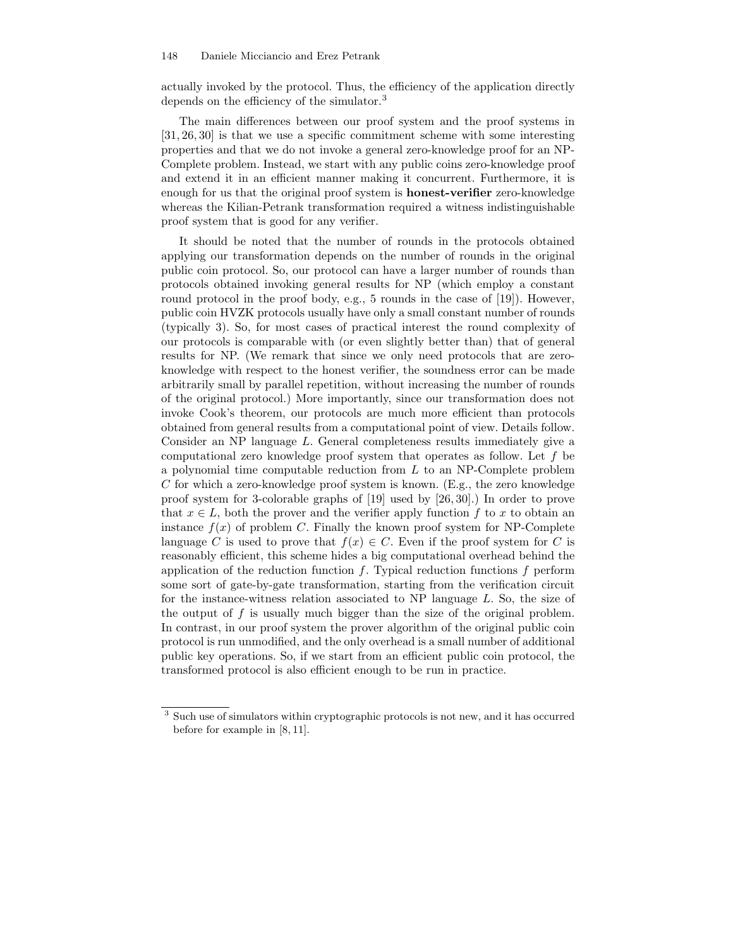actually invoked by the protocol. Thus, the efficiency of the application directly depends on the efficiency of the simulator.<sup>3</sup>

The main differences between our proof system and the proof systems in [31, 26, 30] is that we use a specific commitment scheme with some interesting properties and that we do not invoke a general zero-knowledge proof for an NP-Complete problem. Instead, we start with any public coins zero-knowledge proof and extend it in an efficient manner making it concurrent. Furthermore, it is enough for us that the original proof system is honest-verifier zero-knowledge whereas the Kilian-Petrank transformation required a witness indistinguishable proof system that is good for any verifier.

It should be noted that the number of rounds in the protocols obtained applying our transformation depends on the number of rounds in the original public coin protocol. So, our protocol can have a larger number of rounds than protocols obtained invoking general results for NP (which employ a constant round protocol in the proof body, e.g., 5 rounds in the case of [19]). However, public coin HVZK protocols usually have only a small constant number of rounds (typically 3). So, for most cases of practical interest the round complexity of our protocols is comparable with (or even slightly better than) that of general results for NP. (We remark that since we only need protocols that are zeroknowledge with respect to the honest verifier, the soundness error can be made arbitrarily small by parallel repetition, without increasing the number of rounds of the original protocol.) More importantly, since our transformation does not invoke Cook's theorem, our protocols are much more efficient than protocols obtained from general results from a computational point of view. Details follow. Consider an NP language L. General completeness results immediately give a computational zero knowledge proof system that operates as follow. Let f be a polynomial time computable reduction from L to an NP-Complete problem  $C$  for which a zero-knowledge proof system is known. (E.g., the zero knowledge proof system for 3-colorable graphs of [19] used by [26, 30].) In order to prove that  $x \in L$ , both the prover and the verifier apply function f to x to obtain an instance  $f(x)$  of problem C. Finally the known proof system for NP-Complete language C is used to prove that  $f(x) \in C$ . Even if the proof system for C is reasonably efficient, this scheme hides a big computational overhead behind the application of the reduction function  $f$ . Typical reduction functions  $f$  perform some sort of gate-by-gate transformation, starting from the verification circuit for the instance-witness relation associated to NP language L. So, the size of the output of  $f$  is usually much bigger than the size of the original problem. In contrast, in our proof system the prover algorithm of the original public coin protocol is run unmodified, and the only overhead is a small number of additional public key operations. So, if we start from an efficient public coin protocol, the transformed protocol is also efficient enough to be run in practice.

<sup>3</sup> Such use of simulators within cryptographic protocols is not new, and it has occurred before for example in [8, 11].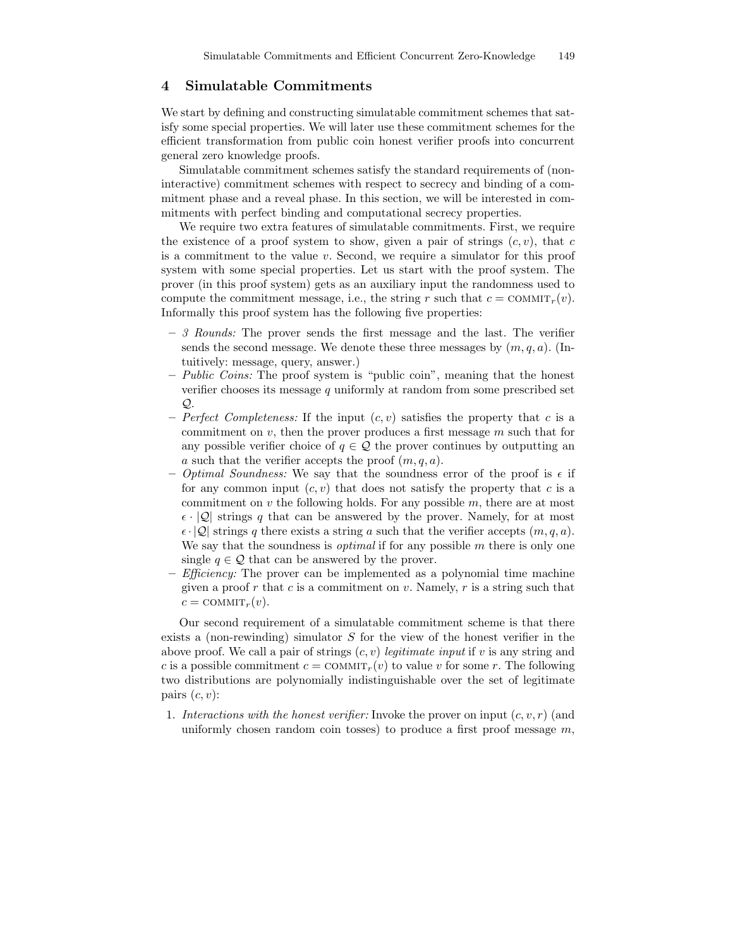## 4 Simulatable Commitments

We start by defining and constructing simulatable commitment schemes that satisfy some special properties. We will later use these commitment schemes for the efficient transformation from public coin honest verifier proofs into concurrent general zero knowledge proofs.

Simulatable commitment schemes satisfy the standard requirements of (noninteractive) commitment schemes with respect to secrecy and binding of a commitment phase and a reveal phase. In this section, we will be interested in commitments with perfect binding and computational secrecy properties.

We require two extra features of simulatable commitments. First, we require the existence of a proof system to show, given a pair of strings  $(c, v)$ , that c is a commitment to the value  $v$ . Second, we require a simulator for this proof system with some special properties. Let us start with the proof system. The prover (in this proof system) gets as an auxiliary input the randomness used to compute the commitment message, i.e., the string r such that  $c = \text{COMMIT}_r(v)$ . Informally this proof system has the following five properties:

- $-3$  Rounds: The prover sends the first message and the last. The verifier sends the second message. We denote these three messages by  $(m, q, a)$ . (Intuitively: message, query, answer.)
- Public Coins: The proof system is "public coin", meaning that the honest verifier chooses its message  $q$  uniformly at random from some prescribed set  $\omega$ .
- Perfect Completeness: If the input  $(c, v)$  satisfies the property that c is a commitment on  $v$ , then the prover produces a first message  $m$  such that for any possible verifier choice of  $q \in \mathcal{Q}$  the prover continues by outputting an a such that the verifier accepts the proof  $(m, q, a)$ .
- Optimal Soundness: We say that the soundness error of the proof is  $\epsilon$  if for any common input  $(c, v)$  that does not satisfy the property that c is a commitment on  $v$  the following holds. For any possible  $m$ , there are at most  $\epsilon \cdot |Q|$  strings q that can be answered by the prover. Namely, for at most  $\epsilon \cdot |\mathcal{Q}|$  strings q there exists a string a such that the verifier accepts  $(m, q, a)$ . We say that the soundness is *optimal* if for any possible  $m$  there is only one single  $q \in \mathcal{Q}$  that can be answered by the prover.
- $-$  *Efficiency:* The prover can be implemented as a polynomial time machine given a proof  $r$  that  $c$  is a commitment on  $v$ . Namely,  $r$  is a string such that  $c = \text{COMMIT}_r(v).$

Our second requirement of a simulatable commitment scheme is that there exists a (non-rewinding) simulator  $S$  for the view of the honest verifier in the above proof. We call a pair of strings  $(c, v)$  legitimate input if v is any string and c is a possible commitment  $c = \text{COMMIT}_r(v)$  to value v for some r. The following two distributions are polynomially indistinguishable over the set of legitimate pairs  $(c, v)$ :

1. Interactions with the honest verifier: Invoke the prover on input  $(c, v, r)$  (and uniformly chosen random coin tosses) to produce a first proof message  $m$ ,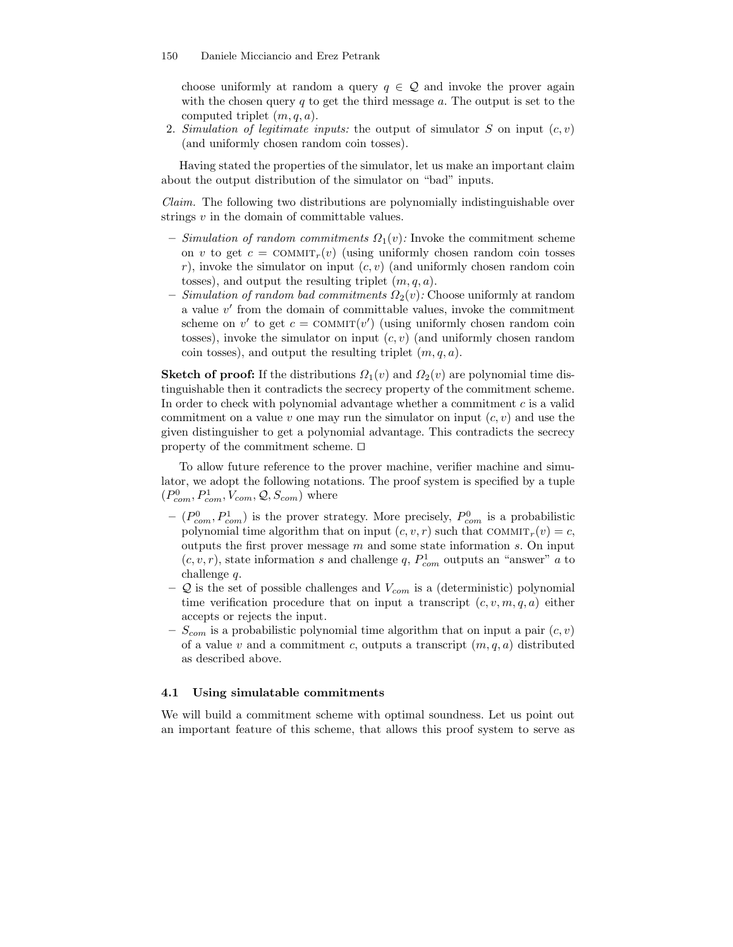choose uniformly at random a query  $q \in \mathcal{Q}$  and invoke the prover again with the chosen query  $q$  to get the third message  $q$ . The output is set to the computed triplet  $(m, q, a)$ .

2. Simulation of legitimate inputs: the output of simulator S on input  $(c, v)$ (and uniformly chosen random coin tosses).

Having stated the properties of the simulator, let us make an important claim about the output distribution of the simulator on "bad" inputs.

Claim. The following two distributions are polynomially indistinguishable over strings  $v$  in the domain of committable values.

- Simulation of random commitments  $\Omega_1(v)$ : Invoke the commitment scheme on v to get  $c = \text{COMMIT}_r(v)$  (using uniformly chosen random coin tosses r), invoke the simulator on input  $(c, v)$  (and uniformly chosen random coin tosses), and output the resulting triplet  $(m, q, a)$ .
- Simulation of random bad commitments  $\Omega_2(v)$ : Choose uniformly at random a value  $v'$  from the domain of committable values, invoke the commitment scheme on  $v'$  to get  $c = \text{COMMIT}(v')$  (using uniformly chosen random coin tosses), invoke the simulator on input  $(c, v)$  (and uniformly chosen random coin tosses), and output the resulting triplet  $(m, q, a)$ .

**Sketch of proof:** If the distributions  $\Omega_1(v)$  and  $\Omega_2(v)$  are polynomial time distinguishable then it contradicts the secrecy property of the commitment scheme. In order to check with polynomial advantage whether a commitment  $c$  is a valid commitment on a value  $v$  one may run the simulator on input  $(c, v)$  and use the given distinguisher to get a polynomial advantage. This contradicts the secrecy property of the commitment scheme.  $\Box$ 

To allow future reference to the prover machine, verifier machine and simulator, we adopt the following notations. The proof system is specified by a tuple  $(P_{com}^0, P_{com}^1, V_{com}, \mathcal{Q}, S_{com})$  where

- $-(P_{com}^0, P_{com}^1)$  is the prover strategy. More precisely,  $P_{com}^0$  is a probabilistic polynomial time algorithm that on input  $(c, v, r)$  such that COMMIT<sub>r</sub> $(v) = c$ , outputs the first prover message  $m$  and some state information  $s$ . On input  $(c, v, r)$ , state information s and challenge q,  $P_{com}^1$  outputs an "answer" a to challenge q.
- $Q$  is the set of possible challenges and  $V_{com}$  is a (deterministic) polynomial time verification procedure that on input a transcript  $(c, v, m, q, a)$  either accepts or rejects the input.
- $S_{com}$  is a probabilistic polynomial time algorithm that on input a pair  $(c, v)$ of a value v and a commitment c, outputs a transcript  $(m, q, a)$  distributed as described above.

#### 4.1 Using simulatable commitments

We will build a commitment scheme with optimal soundness. Let us point out an important feature of this scheme, that allows this proof system to serve as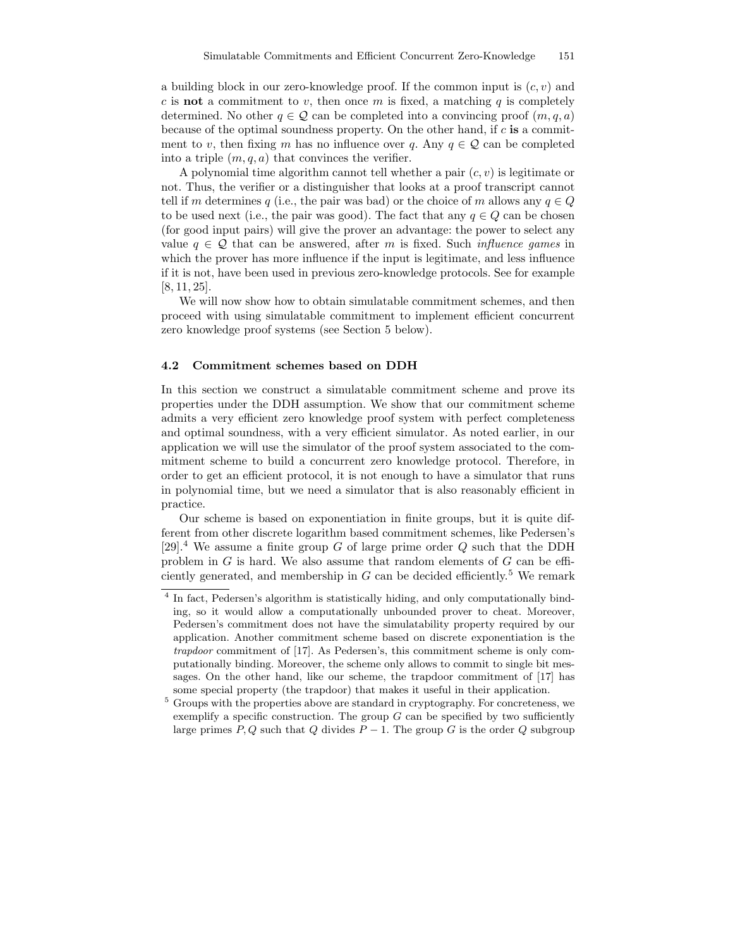a building block in our zero-knowledge proof. If the common input is  $(c, v)$  and c is **not** a commitment to v, then once m is fixed, a matching q is completely determined. No other  $q \in \mathcal{Q}$  can be completed into a convincing proof  $(m, q, a)$ because of the optimal soundness property. On the other hand, if  $c$  is a commitment to v, then fixing m has no influence over q. Any  $q \in \mathcal{Q}$  can be completed into a triple  $(m, q, a)$  that convinces the verifier.

A polynomial time algorithm cannot tell whether a pair  $(c, v)$  is legitimate or not. Thus, the verifier or a distinguisher that looks at a proof transcript cannot tell if m determines q (i.e., the pair was bad) or the choice of m allows any  $q \in Q$ to be used next (i.e., the pair was good). The fact that any  $q \in Q$  can be chosen (for good input pairs) will give the prover an advantage: the power to select any value  $q \in \mathcal{Q}$  that can be answered, after m is fixed. Such *influence games* in which the prover has more influence if the input is legitimate, and less influence if it is not, have been used in previous zero-knowledge protocols. See for example [8, 11, 25].

We will now show how to obtain simulatable commitment schemes, and then proceed with using simulatable commitment to implement efficient concurrent zero knowledge proof systems (see Section 5 below).

#### 4.2 Commitment schemes based on DDH

In this section we construct a simulatable commitment scheme and prove its properties under the DDH assumption. We show that our commitment scheme admits a very efficient zero knowledge proof system with perfect completeness and optimal soundness, with a very efficient simulator. As noted earlier, in our application we will use the simulator of the proof system associated to the commitment scheme to build a concurrent zero knowledge protocol. Therefore, in order to get an efficient protocol, it is not enough to have a simulator that runs in polynomial time, but we need a simulator that is also reasonably efficient in practice.

Our scheme is based on exponentiation in finite groups, but it is quite different from other discrete logarithm based commitment schemes, like Pedersen's [29].<sup>4</sup> We assume a finite group G of large prime order Q such that the DDH problem in  $G$  is hard. We also assume that random elements of  $G$  can be efficiently generated, and membership in  $G$  can be decided efficiently.<sup>5</sup> We remark

<sup>&</sup>lt;sup>4</sup> In fact, Pedersen's algorithm is statistically hiding, and only computationally binding, so it would allow a computationally unbounded prover to cheat. Moreover, Pedersen's commitment does not have the simulatability property required by our application. Another commitment scheme based on discrete exponentiation is the trapdoor commitment of [17]. As Pedersen's, this commitment scheme is only computationally binding. Moreover, the scheme only allows to commit to single bit messages. On the other hand, like our scheme, the trapdoor commitment of [17] has some special property (the trapdoor) that makes it useful in their application.

 $^5$  Groups with the properties above are standard in cryptography. For concreteness, we exemplify a specific construction. The group  $G$  can be specified by two sufficiently large primes  $P, Q$  such that  $Q$  divides  $P - 1$ . The group  $G$  is the order  $Q$  subgroup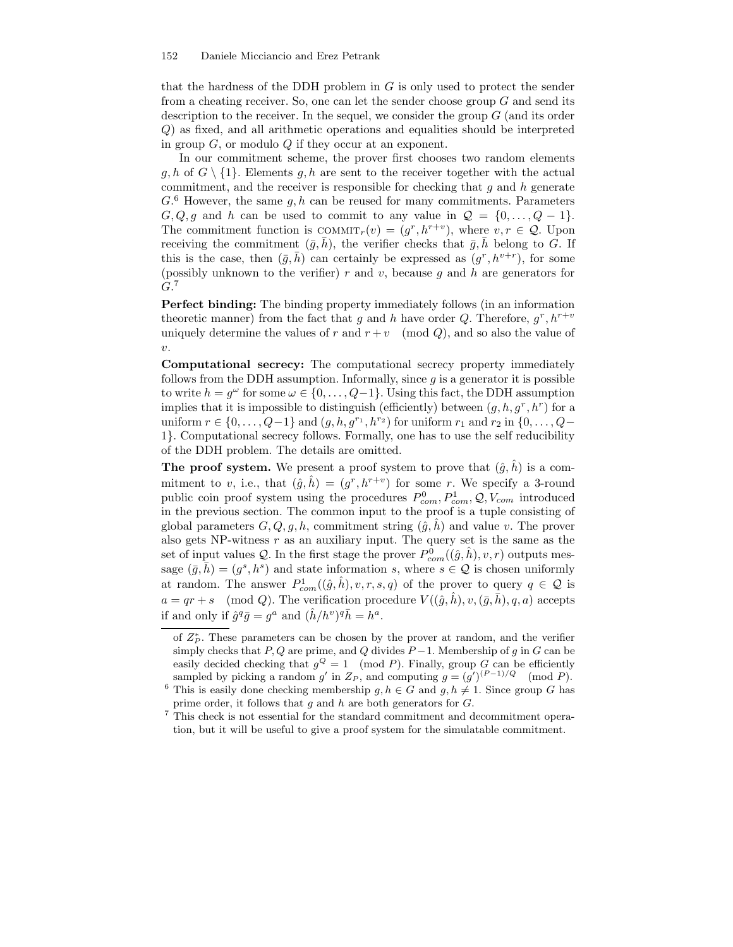that the hardness of the DDH problem in  $G$  is only used to protect the sender from a cheating receiver. So, one can let the sender choose group  $G$  and send its description to the receiver. In the sequel, we consider the group  $G$  (and its order Q) as fixed, and all arithmetic operations and equalities should be interpreted in group  $G$ , or modulo  $Q$  if they occur at an exponent.

In our commitment scheme, the prover first chooses two random elements  $g, h$  of  $G \setminus \{1\}$ . Elements  $g, h$  are sent to the receiver together with the actual commitment, and the receiver is responsible for checking that  $g$  and  $h$  generate  $G<sup>6</sup>$  However, the same  $g, h$  can be reused for many commitments. Parameters  $G, Q, g$  and h can be used to commit to any value in  $Q = \{0, \ldots, Q - 1\}.$ The commitment function is COMMIT<sub>r</sub> $(v) = (g^r, h^{r+v})$ , where  $v, r \in \mathcal{Q}$ . Upon receiving the commitment  $(\bar{g}, \bar{h})$ , the verifier checks that  $\bar{g}, \bar{h}$  belong to G. If this is the case, then  $(\bar{g}, \bar{h})$  can certainly be expressed as  $(g^r, h^{v+r})$ , for some (possibly unknown to the verifier) r and v, because g and h are generators for  $G.<sup>7</sup>$ 

Perfect binding: The binding property immediately follows (in an information theoretic manner) from the fact that g and h have order Q. Therefore,  $g^r, h^{r+v}$ uniquely determine the values of r and  $r + v \pmod{Q}$ , and so also the value of  $\upsilon$ .

Computational secrecy: The computational secrecy property immediately follows from the DDH assumption. Informally, since  $g$  is a generator it is possible to write  $h = g^{\omega}$  for some  $\omega \in \{0, \ldots, Q-1\}$ . Using this fact, the DDH assumption implies that it is impossible to distinguish (efficiently) between  $(g, h, g^r, h^r)$  for a uniform  $r \in \{0, \ldots, Q-1\}$  and  $(g, h, g^{r_1}, h^{r_2})$  for uniform  $r_1$  and  $r_2$  in  $\{0, \ldots, Q-1\}$ 1}. Computational secrecy follows. Formally, one has to use the self reducibility of the DDH problem. The details are omitted.

The proof system. We present a proof system to prove that  $(\hat{g}, \hat{h})$  is a commitment to v, i.e., that  $(\hat{g}, \hat{h}) = (g^r, h^{r+v})$  for some r. We specify a 3-round public coin proof system using the procedures  $P_{com}^0, P_{com}^1, Q, V_{com}$  introduced in the previous section. The common input to the proof is a tuple consisting of global parameters  $G, Q, g, h$ , commitment string  $(\hat{g}, h)$  and value v. The prover also gets NP-witness  $r$  as an auxiliary input. The query set is the same as the set of input values  $\mathcal{Q}$ . In the first stage the prover  $P_{com}^{\overline{0}}((\hat{g}, \hat{h}), v, r)$  outputs message  $(\bar{g}, \bar{h}) = (g^s, h^s)$  and state information s, where  $s \in \mathcal{Q}$  is chosen uniformly at random. The answer  $P_{com}^1((\hat{g}, \hat{h}), v, r, s, q)$  of the prover to query  $q \in \mathcal{Q}$  is  $a = qr + s \pmod{Q}$ . The verification procedure  $V((\hat{g}, \hat{h}), v, (\bar{g}, \bar{h}), q, a)$  accepts if and only if  $\hat{g}^q \bar{g} = g^a$  and  $(\hat{h}/h^v)^q \bar{h} = h^a$ .

of  $Z_P^*$ . These parameters can be chosen by the prover at random, and the verifier simply checks that  $P, Q$  are prime, and  $Q$  divides  $P-1$ . Membership of  $g$  in  $G$  can be easily decided checking that  $g^Q = 1 \pmod{P}$ . Finally, group G can be efficiently sampled by picking a random g' in  $Z_P$ , and computing  $g = (g')^{(P-1)/Q} \pmod{P}$ .

<sup>&</sup>lt;sup>6</sup> This is easily done checking membership  $g, h \in G$  and  $g, h \neq 1$ . Since group G has prime order, it follows that  $g$  and  $h$  are both generators for  $G$ .

 $^7$  This check is not essential for the standard commitment and decommitment operation, but it will be useful to give a proof system for the simulatable commitment.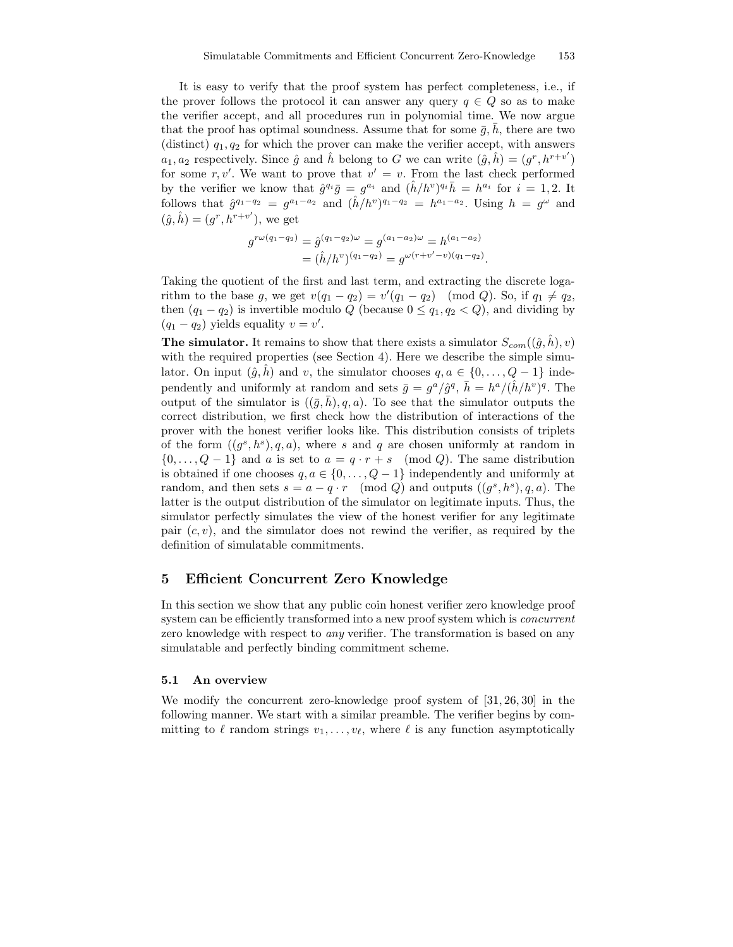It is easy to verify that the proof system has perfect completeness, i.e., if the prover follows the protocol it can answer any query  $q \in Q$  so as to make the verifier accept, and all procedures run in polynomial time. We now argue that the proof has optimal soundness. Assume that for some  $\bar{q}$ ,  $\bar{h}$ , there are two (distinct)  $q_1, q_2$  for which the prover can make the verifier accept, with answers  $a_1, a_2$  respectively. Since  $\hat{g}$  and  $\hat{h}$  belong to G we can write  $(\hat{g}, \hat{h}) = (g^r, h^{r+v'})$ for some r, v'. We want to prove that  $v' = v$ . From the last check performed by the verifier we know that  $\hat{g}^{q_i}\bar{g} = g^{a_i}$  and  $(\hat{h}/h^v)^{q_i}\bar{h} = h^{a_i}$  for  $i = 1, 2$ . It follows that  $\hat{g}^{q_1-q_2} = g^{a_1-a_2}$  and  $(\hat{h}/h^v)^{q_1-q_2} = h^{a_1-a_2}$ . Using  $h = g^{\omega}$  and  $(\hat{g}, \hat{h}) = (g^r, \tilde{h}^{r+v'}),$  we get

$$
g^{r\omega(q_1-q_2)} = \hat{g}^{(q_1-q_2)\omega} = g^{(a_1-a_2)\omega} = h^{(a_1-a_2)}
$$
  
=  $(\hat{h}/h^v)^{(q_1-q_2)} = g^{\omega(r+v'-v)(q_1-q_2)}$ .

Taking the quotient of the first and last term, and extracting the discrete logarithm to the base g, we get  $v(q_1 - q_2) = v'(q_1 - q_2) \pmod{Q}$ . So, if  $q_1 \neq q_2$ , then  $(q_1 - q_2)$  is invertible modulo Q (because  $0 \leq q_1, q_2 < Q$ ), and dividing by  $(q_1 - q_2)$  yields equality  $v = v'$ .

**The simulator.** It remains to show that there exists a simulator  $S_{com}((\hat{g}, \hat{h}), v)$ with the required properties (see Section 4). Here we describe the simple simulator. On input  $(\hat{g}, \hat{h})$  and v, the simulator chooses  $q, a \in \{0, ..., Q-1\}$  independently and uniformly at random and sets  $\bar{g} = g^a/\hat{g}^q$ ,  $\bar{h} = h^a/(\hat{h}/h^v)^q$ . The output of the simulator is  $((\bar{g}, h), q, a)$ . To see that the simulator outputs the correct distribution, we first check how the distribution of interactions of the prover with the honest verifier looks like. This distribution consists of triplets of the form  $((g^s, h^s), q, a)$ , where s and q are chosen uniformly at random in  $\{0,\ldots,Q-1\}$  and a is set to  $a = q \cdot r + s \pmod{Q}$ . The same distribution is obtained if one chooses  $q, a \in \{0, \ldots, Q-1\}$  independently and uniformly at random, and then sets  $s = a - q \cdot r \pmod{Q}$  and outputs  $((g^s, h^s), q, a)$ . The latter is the output distribution of the simulator on legitimate inputs. Thus, the simulator perfectly simulates the view of the honest verifier for any legitimate pair  $(c, v)$ , and the simulator does not rewind the verifier, as required by the definition of simulatable commitments.

### 5 Efficient Concurrent Zero Knowledge

In this section we show that any public coin honest verifier zero knowledge proof system can be efficiently transformed into a new proof system which is *concurrent* zero knowledge with respect to *any* verifier. The transformation is based on any simulatable and perfectly binding commitment scheme.

#### 5.1 An overview

We modify the concurrent zero-knowledge proof system of [31, 26, 30] in the following manner. We start with a similar preamble. The verifier begins by committing to  $\ell$  random strings  $v_1, \ldots, v_\ell$ , where  $\ell$  is any function asymptotically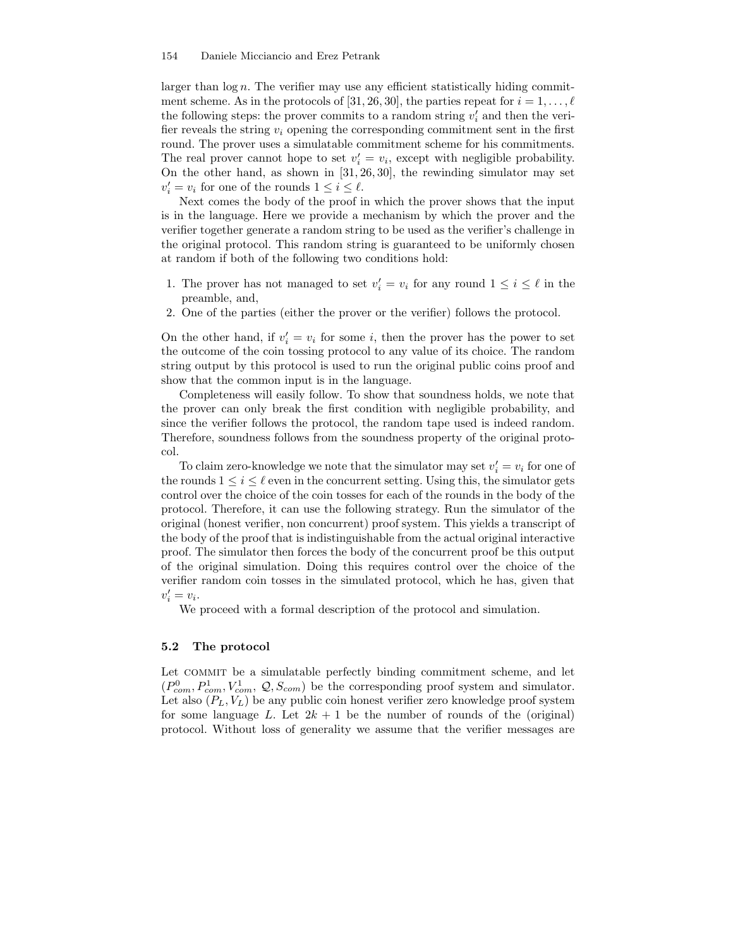larger than  $\log n$ . The verifier may use any efficient statistically hiding commitment scheme. As in the protocols of [31, 26, 30], the parties repeat for  $i = 1, \ldots, \ell$ the following steps: the prover commits to a random string  $v_i'$  and then the verifier reveals the string  $v_i$  opening the corresponding commitment sent in the first round. The prover uses a simulatable commitment scheme for his commitments. The real prover cannot hope to set  $v_i' = v_i$ , except with negligible probability. On the other hand, as shown in [31, 26, 30], the rewinding simulator may set  $v'_i = v_i$  for one of the rounds  $1 \leq i \leq \ell$ .

Next comes the body of the proof in which the prover shows that the input is in the language. Here we provide a mechanism by which the prover and the verifier together generate a random string to be used as the verifier's challenge in the original protocol. This random string is guaranteed to be uniformly chosen at random if both of the following two conditions hold:

- 1. The prover has not managed to set  $v'_i = v_i$  for any round  $1 \leq i \leq \ell$  in the preamble, and,
- 2. One of the parties (either the prover or the verifier) follows the protocol.

On the other hand, if  $v_i' = v_i$  for some i, then the prover has the power to set the outcome of the coin tossing protocol to any value of its choice. The random string output by this protocol is used to run the original public coins proof and show that the common input is in the language.

Completeness will easily follow. To show that soundness holds, we note that the prover can only break the first condition with negligible probability, and since the verifier follows the protocol, the random tape used is indeed random. Therefore, soundness follows from the soundness property of the original protocol.

To claim zero-knowledge we note that the simulator may set  $v_i' = v_i$  for one of the rounds  $1 \leq i \leq \ell$  even in the concurrent setting. Using this, the simulator gets control over the choice of the coin tosses for each of the rounds in the body of the protocol. Therefore, it can use the following strategy. Run the simulator of the original (honest verifier, non concurrent) proof system. This yields a transcript of the body of the proof that is indistinguishable from the actual original interactive proof. The simulator then forces the body of the concurrent proof be this output of the original simulation. Doing this requires control over the choice of the verifier random coin tosses in the simulated protocol, which he has, given that  $v_i' = v_i.$ 

We proceed with a formal description of the protocol and simulation.

#### 5.2 The protocol

Let COMMIT be a simulatable perfectly binding commitment scheme, and let  $(P_{com}^0, P_{com}^1, V_{com}^1, \mathcal{Q}, S_{com})$  be the corresponding proof system and simulator. Let also  $(P_L, V_L)$  be any public coin honest verifier zero knowledge proof system for some language L. Let  $2k + 1$  be the number of rounds of the (original) protocol. Without loss of generality we assume that the verifier messages are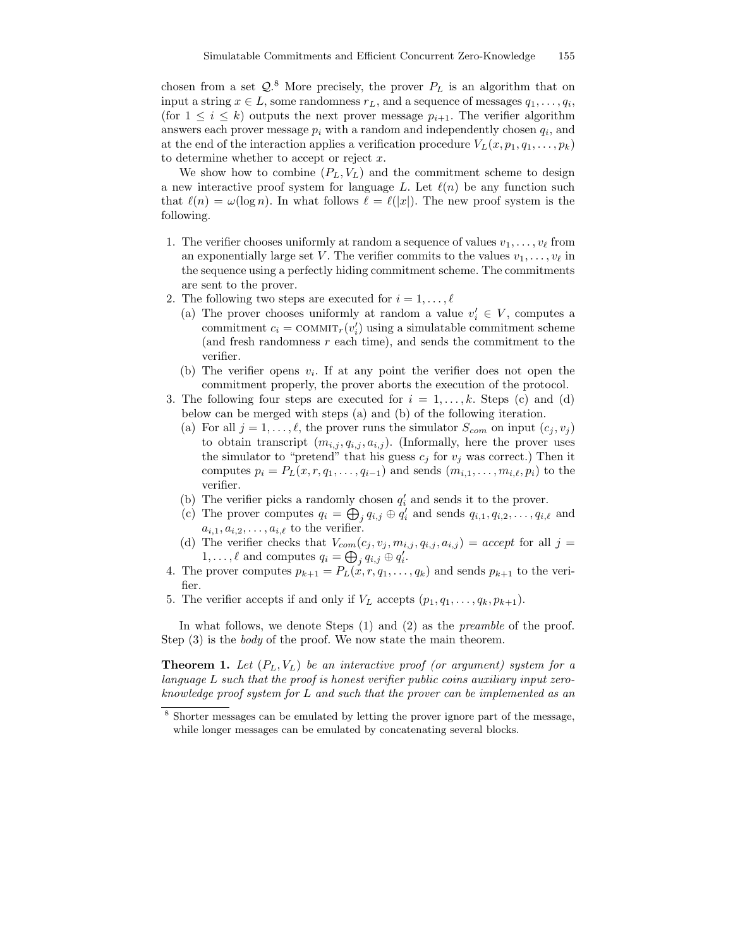chosen from a set  $\mathcal{Q}$ .<sup>8</sup> More precisely, the prover  $P_L$  is an algorithm that on input a string  $x \in L$ , some randomness  $r_L$ , and a sequence of messages  $q_1, \ldots, q_i$ , (for  $1 \leq i \leq k$ ) outputs the next prover message  $p_{i+1}$ . The verifier algorithm answers each prover message  $p_i$  with a random and independently chosen  $q_i$ , and at the end of the interaction applies a verification procedure  $V_L(x, p_1, q_1, \ldots, p_k)$ to determine whether to accept or reject x.

We show how to combine  $(P_L, V_L)$  and the commitment scheme to design a new interactive proof system for language L. Let  $\ell(n)$  be any function such that  $\ell(n) = \omega(\log n)$ . In what follows  $\ell = \ell(|x|)$ . The new proof system is the following.

- 1. The verifier chooses uniformly at random a sequence of values  $v_1, \ldots, v_\ell$  from an exponentially large set V. The verifier commits to the values  $v_1, \ldots, v_\ell$  in the sequence using a perfectly hiding commitment scheme. The commitments are sent to the prover.
- 2. The following two steps are executed for  $i = 1, \ldots, \ell$ 
	- (a) The prover chooses uniformly at random a value  $v_i' \in V$ , computes a commitment  $c_i = \text{COMMIT}_r(v'_i)$  using a simulatable commitment scheme (and fresh randomness  $r$  each time), and sends the commitment to the verifier.
	- (b) The verifier opens  $v_i$ . If at any point the verifier does not open the commitment properly, the prover aborts the execution of the protocol.
- 3. The following four steps are executed for  $i = 1, \ldots, k$ . Steps (c) and (d) below can be merged with steps (a) and (b) of the following iteration.
	- (a) For all  $j = 1, \ldots, \ell$ , the prover runs the simulator  $S_{com}$  on input  $(c_i, v_i)$ to obtain transcript  $(m_{i,j}, q_{i,j}, a_{i,j})$ . (Informally, here the prover uses the simulator to "pretend" that his guess  $c_i$  for  $v_i$  was correct.) Then it computes  $p_i = P_L(x, r, q_1, \ldots, q_{i-1})$  and sends  $(m_{i,1}, \ldots, m_{i,\ell}, p_i)$  to the verifier.
	- (b) The verifier picks a randomly chosen  $q_i^\prime$  and sends it to the prover.
	- (c) The prover computes  $q_i = \bigoplus_j q_{i,j} \oplus q'_i$  and sends  $q_{i,1}, q_{i,2}, \ldots, q_{i,\ell}$  and  $a_{i,1}, a_{i,2}, \ldots, a_{i,\ell}$  to the verifier.
	- (d) The verifier checks that  $V_{com}(c_j, v_j, m_{i,j}, q_{i,j}, a_{i,j}) = accept$  for all  $j =$  $1, \ldots, \ell$  and computes  $q_i = \bigoplus_j q_{i,j} \oplus q_i'.$
- 4. The prover computes  $p_{k+1} = P_L(\mathbf{x}, r, q_1, \dots, q_k)$  and sends  $p_{k+1}$  to the verifier.
- 5. The verifier accepts if and only if  $V_L$  accepts  $(p_1, q_1, \ldots, q_k, p_{k+1})$ .

In what follows, we denote Steps (1) and (2) as the *preamble* of the proof. Step  $(3)$  is the *body* of the proof. We now state the main theorem.

**Theorem 1.** Let  $(P_L, V_L)$  be an interactive proof (or argument) system for a language L such that the proof is honest verifier public coins auxiliary input zeroknowledge proof system for L and such that the prover can be implemented as an

<sup>8</sup> Shorter messages can be emulated by letting the prover ignore part of the message, while longer messages can be emulated by concatenating several blocks.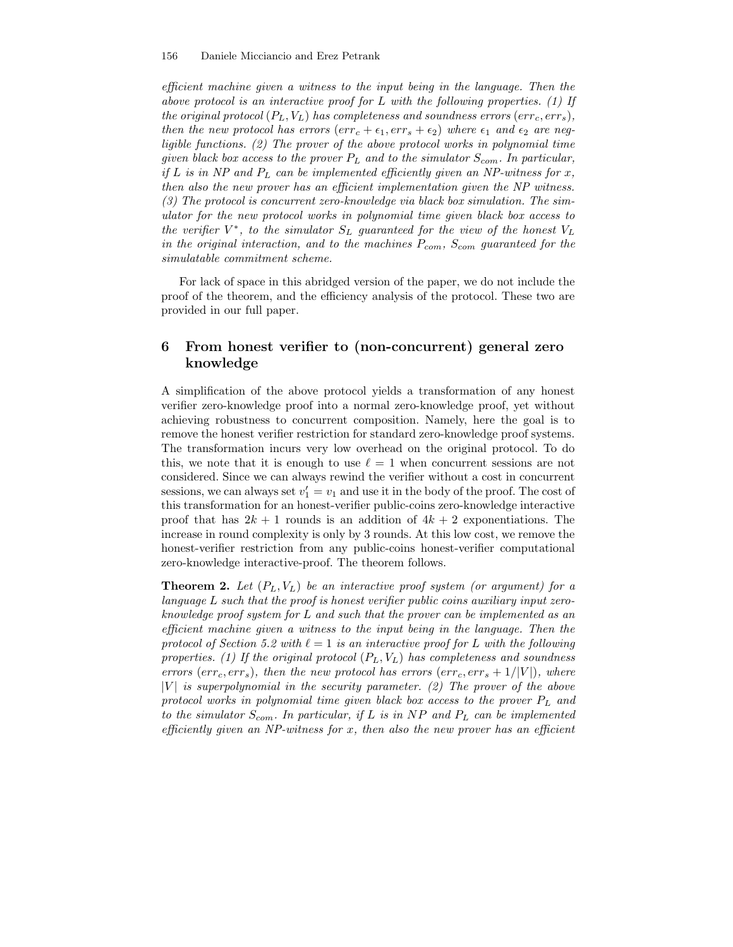efficient machine given a witness to the input being in the language. Then the above protocol is an interactive proof for L with the following properties. (1) If the original protocol  $(P_L, V_L)$  has completeness and soundness errors (err<sub>c</sub>, err<sub>s</sub>), then the new protocol has errors  $(err_c + \epsilon_1, err_s + \epsilon_2)$  where  $\epsilon_1$  and  $\epsilon_2$  are negligible functions. (2) The prover of the above protocol works in polynomial time given black box access to the prover  $P_L$  and to the simulator  $S_{com}$ . In particular, if L is in NP and  $P<sub>L</sub>$  can be implemented efficiently given an NP-witness for x, then also the new prover has an efficient implementation given the NP witness. (3) The protocol is concurrent zero-knowledge via black box simulation. The simulator for the new protocol works in polynomial time given black box access to the verifier  $V^*$ , to the simulator  $S_L$  guaranteed for the view of the honest  $V_L$ in the original interaction, and to the machines  $P_{com}$ ,  $S_{com}$  guaranteed for the simulatable commitment scheme.

For lack of space in this abridged version of the paper, we do not include the proof of the theorem, and the efficiency analysis of the protocol. These two are provided in our full paper.

# 6 From honest verifier to (non-concurrent) general zero knowledge

A simplification of the above protocol yields a transformation of any honest verifier zero-knowledge proof into a normal zero-knowledge proof, yet without achieving robustness to concurrent composition. Namely, here the goal is to remove the honest verifier restriction for standard zero-knowledge proof systems. The transformation incurs very low overhead on the original protocol. To do this, we note that it is enough to use  $\ell = 1$  when concurrent sessions are not considered. Since we can always rewind the verifier without a cost in concurrent sessions, we can always set  $v_1' = v_1$  and use it in the body of the proof. The cost of this transformation for an honest-verifier public-coins zero-knowledge interactive proof that has  $2k + 1$  rounds is an addition of  $4k + 2$  exponentiations. The increase in round complexity is only by 3 rounds. At this low cost, we remove the honest-verifier restriction from any public-coins honest-verifier computational zero-knowledge interactive-proof. The theorem follows.

**Theorem 2.** Let  $(P_L, V_L)$  be an interactive proof system (or argument) for a language L such that the proof is honest verifier public coins auxiliary input zeroknowledge proof system for L and such that the prover can be implemented as an efficient machine given a witness to the input being in the language. Then the protocol of Section 5.2 with  $\ell = 1$  is an interactive proof for L with the following properties. (1) If the original protocol  $(P_L, V_L)$  has completeness and soundness errors (err<sub>c</sub>, err<sub>s</sub>), then the new protocol has errors (err<sub>c</sub>, err<sub>s</sub> + 1/|V|), where  $|V|$  is superpolynomial in the security parameter. (2) The prover of the above protocol works in polynomial time given black box access to the prover  $P_L$  and to the simulator  $S_{com}$ . In particular, if L is in NP and  $P_L$  can be implemented efficiently given an NP-witness for  $x$ , then also the new prover has an efficient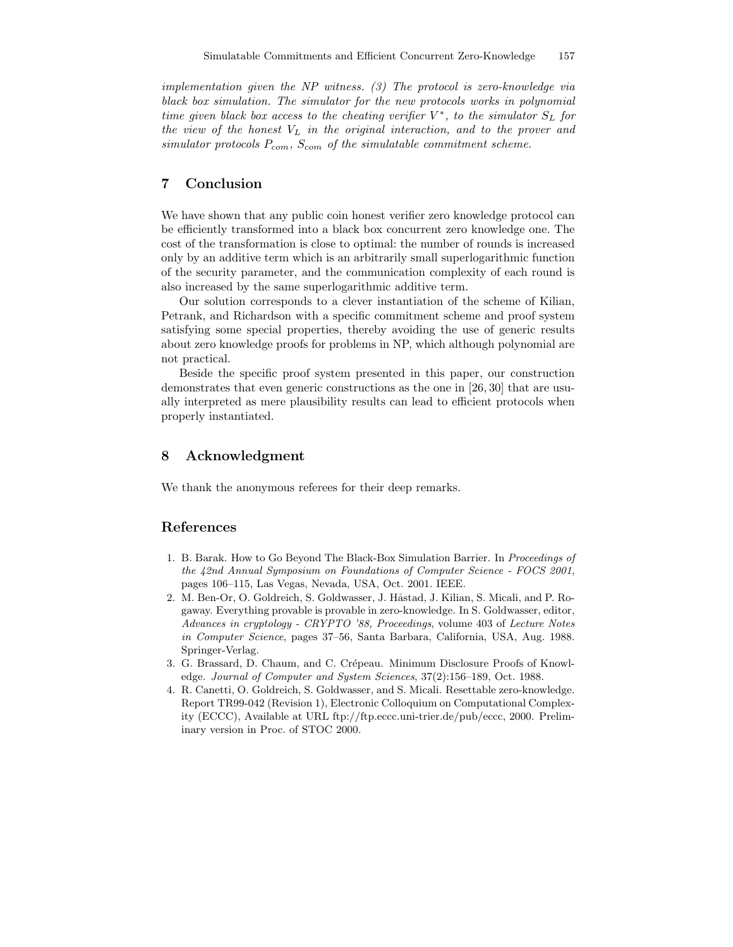implementation given the NP witness. (3) The protocol is zero-knowledge via black box simulation. The simulator for the new protocols works in polynomial time given black box access to the cheating verifier  $V^*$ , to the simulator  $S_L$  for the view of the honest  $V_L$  in the original interaction, and to the prover and simulator protocols  $P_{com}$ ,  $S_{com}$  of the simulatable commitment scheme.

# 7 Conclusion

We have shown that any public coin honest verifier zero knowledge protocol can be efficiently transformed into a black box concurrent zero knowledge one. The cost of the transformation is close to optimal: the number of rounds is increased only by an additive term which is an arbitrarily small superlogarithmic function of the security parameter, and the communication complexity of each round is also increased by the same superlogarithmic additive term.

Our solution corresponds to a clever instantiation of the scheme of Kilian, Petrank, and Richardson with a specific commitment scheme and proof system satisfying some special properties, thereby avoiding the use of generic results about zero knowledge proofs for problems in NP, which although polynomial are not practical.

Beside the specific proof system presented in this paper, our construction demonstrates that even generic constructions as the one in [26, 30] that are usually interpreted as mere plausibility results can lead to efficient protocols when properly instantiated.

# 8 Acknowledgment

We thank the anonymous referees for their deep remarks.

## References

- 1. B. Barak. How to Go Beyond The Black-Box Simulation Barrier. In Proceedings of the 42nd Annual Symposium on Foundations of Computer Science - FOCS 2001, pages 106–115, Las Vegas, Nevada, USA, Oct. 2001. IEEE.
- 2. M. Ben-Or, O. Goldreich, S. Goldwasser, J. Håstad, J. Kilian, S. Micali, and P. Rogaway. Everything provable is provable in zero-knowledge. In S. Goldwasser, editor, Advances in cryptology - CRYPTO '88, Proceedings, volume 403 of Lecture Notes in Computer Science, pages 37–56, Santa Barbara, California, USA, Aug. 1988. Springer-Verlag.
- 3. G. Brassard, D. Chaum, and C. Crépeau. Minimum Disclosure Proofs of Knowledge. Journal of Computer and System Sciences, 37(2):156–189, Oct. 1988.
- 4. R. Canetti, O. Goldreich, S. Goldwasser, and S. Micali. Resettable zero-knowledge. Report TR99-042 (Revision 1), Electronic Colloquium on Computational Complexity (ECCC), Available at URL ftp://ftp.eccc.uni-trier.de/pub/eccc, 2000. Preliminary version in Proc. of STOC 2000.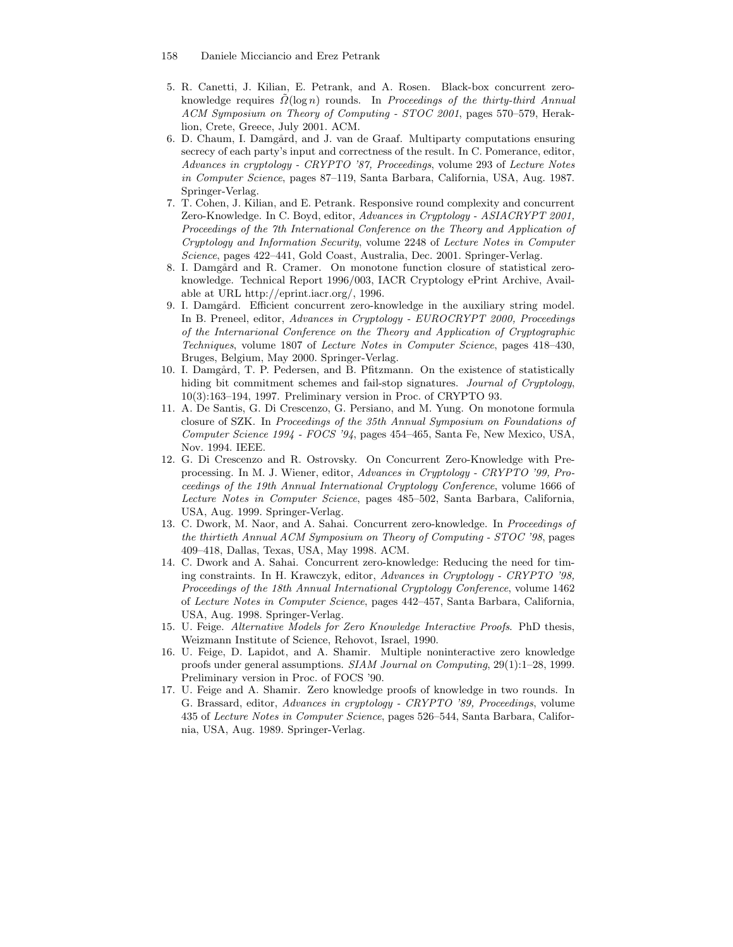- 5. R. Canetti, J. Kilian, E. Petrank, and A. Rosen. Black-box concurrent zeroknowledge requires  $\Omega(\log n)$  rounds. In Proceedings of the thirty-third Annual ACM Symposium on Theory of Computing - STOC 2001, pages 570–579, Heraklion, Crete, Greece, July 2001. ACM.
- 6. D. Chaum, I. Damgård, and J. van de Graaf. Multiparty computations ensuring secrecy of each party's input and correctness of the result. In C. Pomerance, editor, Advances in cryptology - CRYPTO '87, Proceedings, volume 293 of Lecture Notes in Computer Science, pages 87–119, Santa Barbara, California, USA, Aug. 1987. Springer-Verlag.
- 7. T. Cohen, J. Kilian, and E. Petrank. Responsive round complexity and concurrent Zero-Knowledge. In C. Boyd, editor, Advances in Cryptology - ASIACRYPT 2001, Proceedings of the 7th International Conference on the Theory and Application of Cryptology and Information Security, volume 2248 of Lecture Notes in Computer Science, pages 422–441, Gold Coast, Australia, Dec. 2001. Springer-Verlag.
- 8. I. Damgård and R. Cramer. On monotone function closure of statistical zeroknowledge. Technical Report 1996/003, IACR Cryptology ePrint Archive, Available at URL http://eprint.iacr.org/, 1996.
- 9. I. Damgård. Efficient concurrent zero-knowledge in the auxiliary string model. In B. Preneel, editor, Advances in Cryptology - EUROCRYPT 2000, Proceedings of the Internarional Conference on the Theory and Application of Cryptographic Techniques, volume 1807 of Lecture Notes in Computer Science, pages 418–430, Bruges, Belgium, May 2000. Springer-Verlag.
- 10. I. Damgård, T. P. Pedersen, and B. Pfitzmann. On the existence of statistically hiding bit commitment schemes and fail-stop signatures. Journal of Cryptology, 10(3):163–194, 1997. Preliminary version in Proc. of CRYPTO 93.
- 11. A. De Santis, G. Di Crescenzo, G. Persiano, and M. Yung. On monotone formula closure of SZK. In Proceedings of the 35th Annual Symposium on Foundations of Computer Science 1994 - FOCS '94, pages 454–465, Santa Fe, New Mexico, USA, Nov. 1994. IEEE.
- 12. G. Di Crescenzo and R. Ostrovsky. On Concurrent Zero-Knowledge with Preprocessing. In M. J. Wiener, editor, Advances in Cryptology - CRYPTO '99, Proceedings of the 19th Annual International Cryptology Conference, volume 1666 of Lecture Notes in Computer Science, pages 485–502, Santa Barbara, California, USA, Aug. 1999. Springer-Verlag.
- 13. C. Dwork, M. Naor, and A. Sahai. Concurrent zero-knowledge. In *Proceedings of* the thirtieth Annual ACM Symposium on Theory of Computing - STOC '98, pages 409–418, Dallas, Texas, USA, May 1998. ACM.
- 14. C. Dwork and A. Sahai. Concurrent zero-knowledge: Reducing the need for timing constraints. In H. Krawczyk, editor, Advances in Cryptology - CRYPTO '98, Proceedings of the 18th Annual International Cryptology Conference, volume 1462 of Lecture Notes in Computer Science, pages 442–457, Santa Barbara, California, USA, Aug. 1998. Springer-Verlag.
- 15. U. Feige. Alternative Models for Zero Knowledge Interactive Proofs. PhD thesis, Weizmann Institute of Science, Rehovot, Israel, 1990.
- 16. U. Feige, D. Lapidot, and A. Shamir. Multiple noninteractive zero knowledge proofs under general assumptions. SIAM Journal on Computing, 29(1):1–28, 1999. Preliminary version in Proc. of FOCS '90.
- 17. U. Feige and A. Shamir. Zero knowledge proofs of knowledge in two rounds. In G. Brassard, editor, Advances in cryptology - CRYPTO '89, Proceedings, volume 435 of Lecture Notes in Computer Science, pages 526–544, Santa Barbara, California, USA, Aug. 1989. Springer-Verlag.